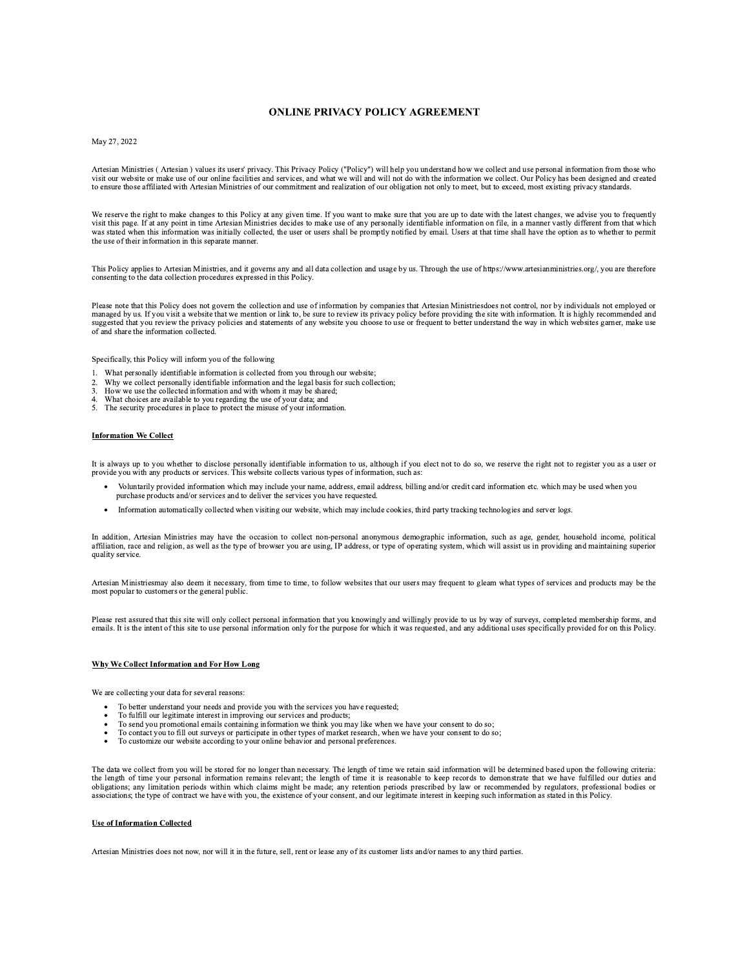## **ONLINE PRIVACY POLICY AGREEMENT**

## May 27, 2022

Artesian Ministries (Artesian) values its users' privacy. This Privacy Policy ("Policy") will help you understand how we collect and use personal information from those who<br>visit our website or make use of our online facil to ensure those affiliated with Artesian Ministries of our commitment and realization of our obligation not only to meet, but to exceed, most existing privacy standards.

We reserve the right to make changes to this Policy at any given time. If you want to make sure that you are up to date with the latest changes, we advise you to frequently visit this page. If at any point in time Artesian was stated when this information was initially collected, the user or users shall be promptly notified by email. Users at that time shall have the option as to whether to permit the use of their information in this separate manner.

This Policy applies to Artesian Ministries, and it governs any and all data collection and usage by us. Through the use of https://www.artesianministries.org/, you are therefore consenting to the data collection procedures expressed in this Policy.

Please note that this Policy does not govern the collection and use of information by companies that Artesian Ministriesdoes not control, nor by individuals not employed or managed by us. If you visit a website that we men suggested that you review the privacy policies and statements of any website you choose to use or frequent to better understand the way in which websites garner, make use of and share the information collected.

Specifically, this Policy will inform you of the following

- 1. What personally identifiable information is collected from you through our website;
- what personally identifiable information and the legal basis for such collection;<br>Why we collect personally identifiable information and the legal basis for such collection;<br>How we use the collected information and with wh  $\overline{2}$
- $\overline{3}$ .
- What choices are available to you regarding the use of your data; and  $\overline{4}$ 5. The security procedures in place to protect the misuse of your information.
- 

# **Information We Collect**

It is always up to you whether to disclose personally identifiable information to us, although if you elect not to do so, we reserve the right not to register you as a user or provide you with any products or services. This website collects various types of information, such as:

- Voluntarily provided information which may include your name, address, email address, billing and/or credit card information etc. which may be used when you purchase products and/or services and to deliver the services you have requested.
- Information automatically collected when visiting our website, which may include cookies, third party tracking technologies and server logs.

In addition, Artesian Ministries may have the occasion to collect non-personal anonymous demographic information, such as age, gender, household income, political affiliation, race and religion, as well as the type of brow quality service.

Artesian Ministriesmay also deem it necessary, from time to time, to follow websites that our users may frequent to gleam what types of services and products may be the most popular to customers or the general public.

Please rest assured that this site will only collect personal information that you knowingly and willingly provide to us by way of surveys, completed membership forms, and emails. It is the intent of this site to use personal information only for the purpose for which it was requested, and any additional uses specifically provided for on this Policy.

## Why We Collect Information and For How Long

We are collecting your data for several reasons:

- To better understand your needs and provide you with the services you have requested;
- 
- To fulfill our legitimate interest in improving our services and products;<br>To send you promotional emails containing information we think you may like when we have your consent to do so;
- To contact you to fill out surveys or participate in other types of market research, when we have your consent to do so;
- To customize our website according to your online behavior and personal preferences.

The data we collect from you will be stored for no longer than necessary. The length of time we retain said information will be determined based upon the following criteria: the length of time your personal information remains relevant; the length of time it is reasonable to keep records to demonstrate that we have fulfilled our duties and obligations; any limitation periods within which claims might be made; any retention periods prescribed by law or recommended by regulators, professional bodies or associations; the type of contract we have with you, the e

## **Use of Information Collected**

Artesian Ministries does not now, nor will it in the future, sell, rent or lease any of its customer lists and/or names to any third parties.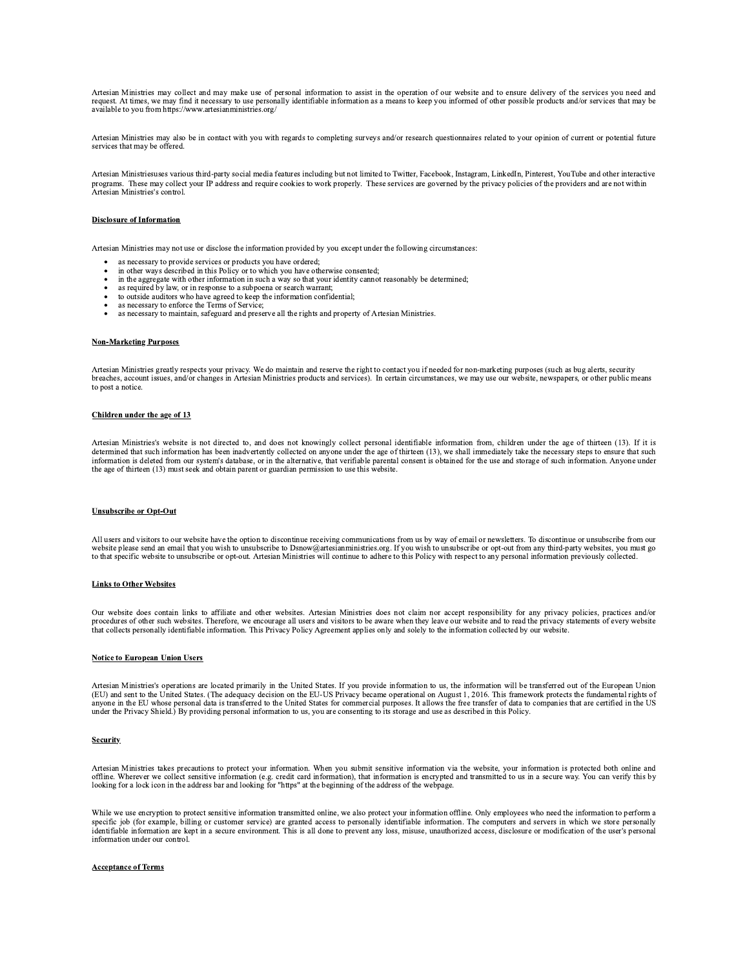Artesian Ministries may collect and may make use of personal information to assist in the operation of our website and to ensure delivery of the services you need and request. At times, we may find it necessary to use personally identifiable information as a means to keep you informed of other possible products and/or services that may be available to you from https://www.artesianministries.org/

Artesian Ministries may also be in contact with you with regards to completing surveys and/or research questionnaires related to your opinion of current or potential future services that may be offered.

Artesian Ministriesuses various third-party social media features including but not limited to Twitter, Facebook, Instagram, LinkedIn, Pinterest, YouTube and other interactive programs. These may collect your IP address and require cookies to work properly. These services are governed by the privacy policies of the providers and are not within Artesian Ministries's control.

## **Disclosure of Information**

Artesian Ministries may not use or disclose the information provided by you except under the following circumstances:

- as necessary to provide services or products you have ordered;
- in other ways described in this Policy or to which you have otherwise consented;
- in the aggregate with other information in such a way so that your identity cannot reasonably be determined;
- as required by law, or in response to a subpoena or search warrant;
- to outside auditors who have agreed to keep the information confidential;
- as necessary to enforce the Terms of Service;
- as necessary to maintain, safeguard and preserve all the rights and property of Artesian Ministries.

## **Non-Marketing Purposes**

Artesian Ministries greatly respects your privacy. We do maintain and reserve the right to contact you if needed for non-marketing purposes (such as bug alerts, security breaches, account issues, and/or changes in Artesian to post a notice.

## Children under the age of 13

Artesian Ministries's website is not directed to, and does not knowingly collect personal identifiable information from, children under the age of thirteen (13). If it is determined that such information has been inadvertently collected on anyone under the age of thirteen (13), we shall immediately take the necessary steps to ensure that such information is deleted from our system's database, or in the alternative, that verifiable parental consent is obtained for the use and storage of such information. Anyone under the age of thirteen (13) must seek and obtain parent or guardian permission to use this website.

### **Unsubscribe or Opt-Out**

All users and visitors to our website have the option to discontinue receiving communications from us by way of email or newsletters. To discontinue or unsubscribe from our website please send an email that you wish to unsubscribe to Dsnow@artesianministries.org. If you wish to unsubscribe or opt-out from any third-party websites, you must go<br>to that specific website to unsubscribe or opt-out

## **Links to Other Websites**

Our website does contain links to affiliate and other websites. Artesian Ministries does not claim nor accept responsibility for any privacy policies, practices and/or procedures of other such websites. Therefore, we encou

## **Notice to European Union Users**

Artesian Ministries's operations are located primarily in the United States. If you provide information to us, the information will be transferred out of the European Union (EU) and sent to the United States. (The adequacy decision on the EU-US Privacy became operational on August 1, 2016. This framework protects the fundamental rights of anyone in the EU whose personal data is transferred to the United States for commercial purposes. It allows the free transfer of data to companies that are certified in the US under the Privacy Shield.) By providing person

#### **Security**

Artesian Ministries takes precautions to protect your information. When you submit sensitive information via the website, your information is protected both online and offline. Wherever we collect sensitive information (e.g. credit card information), that information is encrypted and transmitted to us in a secure way. You can verify this by looking for a lock icon in the address bar and

While we use encryption to protect sensitive information transmitted online, we also protect your information offline. Only employees who need the information to perform a specific job (for example, billing or customer service) are granted access to personally identifiable information. The computers and servers in which we store personally identifiable information are kept in a secure enviro information under our control.

## **Acceptance of Terms**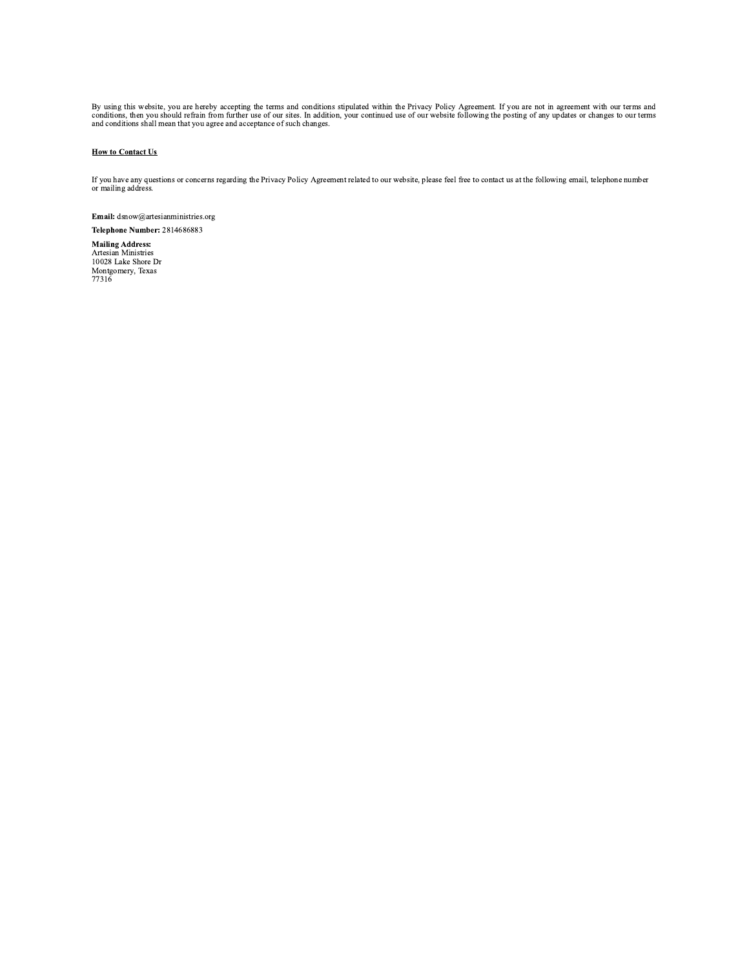By using this website, you are hereby accepting the terms and conditions stipulated within the Privacy Policy Agreement. If you are not in agreement with our terms and conditions, then you should refrain from further use o

## **How to Contact Us**

If you have any questions or concerns regarding the Privacy Policy Agreement related to our website, please feel free to contact us at the following email, telephone number or mailing address.

Email: dsnow@artesianministries.org Telephone Number: 2814686883

**Mailing Address:** Artesian Ministries<br>10028 Lake Shore Dr Montgomery, Texas<br>77316